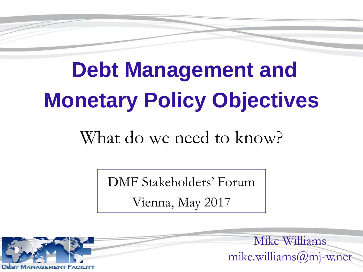# **Debt Management and Monetary Policy Objectives**

#### What do we need to know?

DMF Stakeholders' Forum

Vienna, May 2017



Mike Williams mike.williams@mj-w.net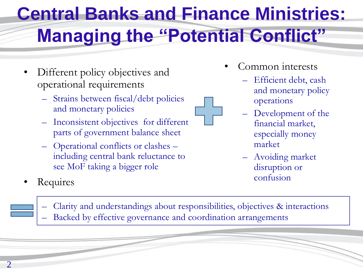# **Central Banks and Finance Ministries: Managing the "Potential Conflict"**

- Different policy objectives and operational requirements
	- Strains between fiscal/debt policies and monetary policies
	- Inconsistent objectives for different parts of government balance sheet
	- Operational conflicts or clashes including central bank reluctance to see MoF taking a bigger role
- Common interests
	- Efficient debt, cash and monetary policy operations
	- Development of the financial market, especially money market
	- Avoiding market disruption or
- Requires  **Confusion** Requires **Confusion** 
	- Clarity and understandings about responsibilities, objectives & interactions – Backed by effective governance and coordination arrangements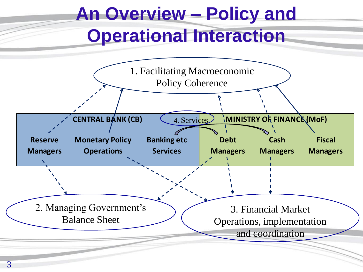# **An Overview – Policy and Operational Interaction**

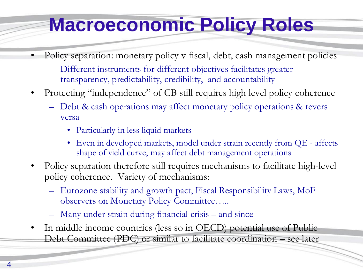### **Macroeconomic Policy Roles**

- Policy separation: monetary policy v fiscal, debt, cash management policies
	- Different instruments for different objectives facilitates greater transparency, predictability, credibility, and accountability
- Protecting "independence" of CB still requires high level policy coherence
	- Debt & cash operations may affect monetary policy operations & revers versa
		- Particularly in less liquid markets
		- Even in developed markets, model under strain recently from QE affects shape of yield curve, may affect debt management operations
- Policy separation therefore still requires mechanisms to facilitate high-level policy coherence. Variety of mechanisms:
	- Eurozone stability and growth pact, Fiscal Responsibility Laws, MoF observers on Monetary Policy Committee…..
	- Many under strain during financial crisis and since
- In middle income countries (less so in OECD) potential use of Public Debt Committee (PDC) or similar to facilitate coordination – see later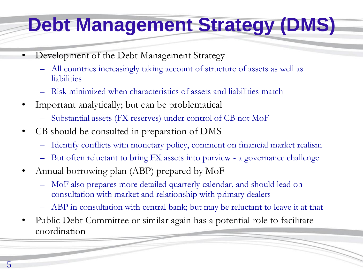## **Debt Management Strategy (DMS)**

- Development of the Debt Management Strategy
	- All countries increasingly taking account of structure of assets as well as liabilities
	- Risk minimized when characteristics of assets and liabilities match
- Important analytically; but can be problematical
	- Substantial assets (FX reserves) under control of CB not MoF
- CB should be consulted in preparation of DMS
	- Identify conflicts with monetary policy, comment on financial market realism
	- But often reluctant to bring FX assets into purview a governance challenge
- Annual borrowing plan (ABP) prepared by MoF
	- MoF also prepares more detailed quarterly calendar, and should lead on consultation with market and relationship with primary dealers
	- ABP in consultation with central bank; but may be reluctant to leave it at that
- Public Debt Committee or similar again has a potential role to facilitate coordination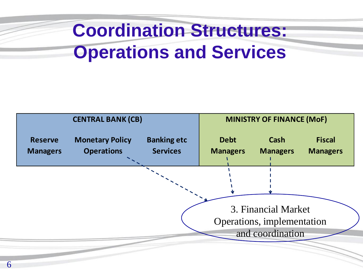### **Coordination Structures: Operations and Services**

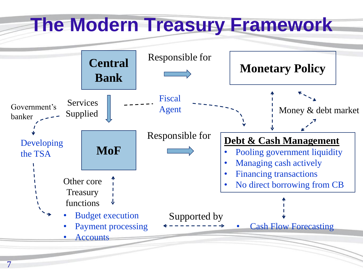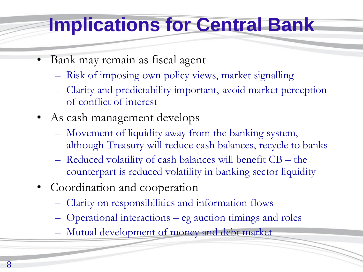### **Implications for Central Bank**

- Bank may remain as fiscal agent
	- Risk of imposing own policy views, market signalling
	- Clarity and predictability important, avoid market perception of conflict of interest
- As cash management develops
	- Movement of liquidity away from the banking system, although Treasury will reduce cash balances, recycle to banks
	- Reduced volatility of cash balances will benefit CB the counterpart is reduced volatility in banking sector liquidity
- Coordination and cooperation
	- Clarity on responsibilities and information flows
	- Operational interactions eg auction timings and roles
	- Mutual development of money and debt market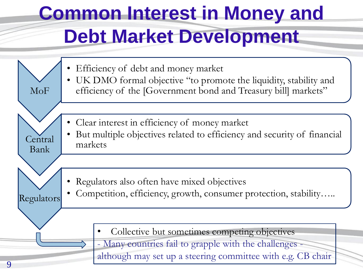# **Common Interest in Money and Debt Market Development**

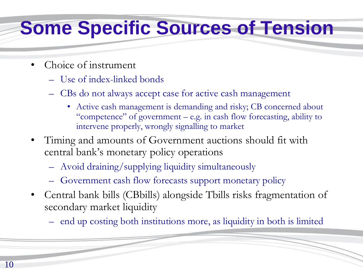#### **Some Specific Sources of Tension**

- Choice of instrument
	- Use of index-linked bonds
	- CBs do not always accept case for active cash management
		- Active cash management is demanding and risky; CB concerned about "competence" of government – e.g. in cash flow forecasting, ability to intervene properly, wrongly signalling to market
- Timing and amounts of Government auctions should fit with central bank's monetary policy operations
	- Avoid draining/supplying liquidity simultaneously
	- Government cash flow forecasts support monetary policy
- Central bank bills (CBbills) alongside Tbills risks fragmentation of secondary market liquidity
	- end up costing both institutions more, as liquidity in both is limited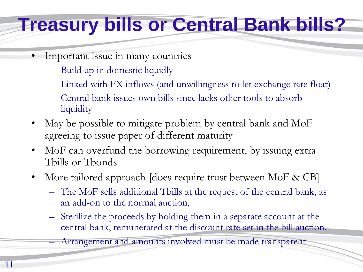#### **Treasury bills or Central Bank bills?**

- Important issue in many countries
	- Build up in domestic liquidly

11

- Linked with FX inflows (and unwillingness to let exchange rate float)
- Central bank issues own bills since lacks other tools to absorb liquidity
- May be possible to mitigate problem by central bank and MoF agreeing to issue paper of different maturity
- MoF can overfund the borrowing requirement, by issuing extra Tbills or Tbonds
- More tailored approach [does require trust between MoF & CB]
	- The MoF sells additional Tbills at the request of the central bank, as an add-on to the normal auction,
	- Sterilize the proceeds by holding them in a separate account at the central bank, remunerated at the discount rate set in the bill auction.

– Arrangement and amounts involved must be made transparent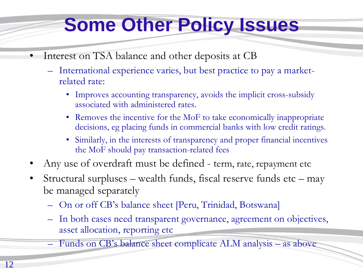### **Some Other Policy Issues**

- Interest on TSA balance and other deposits at CB
	- International experience varies, but best practice to pay a marketrelated rate:
		- Improves accounting transparency, avoids the implicit cross-subsidy associated with administered rates.
		- Removes the incentive for the MoF to take economically inappropriate decisions, eg placing funds in commercial banks with low credit ratings.
		- Similarly, in the interests of transparency and proper financial incentives the MoF should pay transaction-related fees
- Any use of overdraft must be defined term, rate, repayment etc
- Structural surpluses wealth funds, fiscal reserve funds etc may be managed separately
	- On or off CB's balance sheet [Peru, Trinidad, Botswana]
	- In both cases need transparent governance, agreement on objectives, asset allocation, reporting etc
	- Funds on CB's balance sheet complicate ALM analysis as above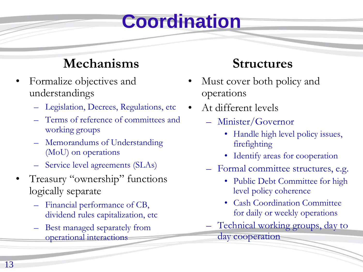### **Coordination**

#### **Mechanisms**

- Formalize objectives and understandings
	- Legislation, Decrees, Regulations, etc
	- Terms of reference of committees and working groups
	- Memorandums of Understanding (MoU) on operations
	- Service level agreements (SLAs)
- Treasury "ownership" functions logically separate
	- Financial performance of CB, dividend rules capitalization, etc
	- Best managed separately from operational interactions

#### **Structures**

- Must cover both policy and operations
- At different levels
	- Minister/Governor
		- Handle high level policy issues, firefighting
		- Identify areas for cooperation
	- Formal committee structures, e.g.
		- Public Debt Committee for high level policy coherence
		- Cash Coordination Committee for daily or weekly operations
	- Technical working groups, day to day cooperation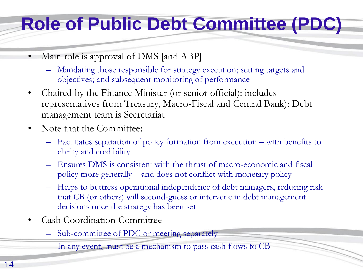### **Role of Public Debt Committee (PDC)**

- Main role is approval of DMS [and ABP]
	- Mandating those responsible for strategy execution; setting targets and objectives; and subsequent monitoring of performance
- Chaired by the Finance Minister (or senior official): includes representatives from Treasury, Macro-Fiscal and Central Bank): Debt management team is Secretariat
- Note that the Committee:
	- Facilitates separation of policy formation from execution with benefits to clarity and credibility
	- Ensures DMS is consistent with the thrust of macro-economic and fiscal policy more generally – and does not conflict with monetary policy
	- Helps to buttress operational independence of debt managers, reducing risk that CB (or others) will second-guess or intervene in debt management decisions once the strategy has been set
- Cash Coordination Committee
	- Sub-committee of PDC or meeting separately
	- In any event, must be a mechanism to pass cash flows to CB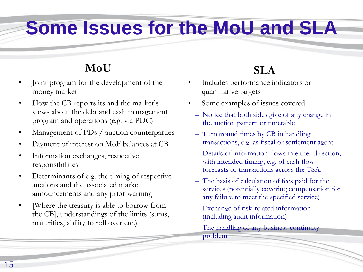#### **Some Issues for the MoU and SLA**

#### **MoU**

- Joint program for the development of the money market
- How the CB reports its and the market's views about the debt and cash management program and operations (e.g. via PDC)
- Management of PDs / auction counterparties
- Payment of interest on MoF balances at CB
- Information exchanges, respective responsibilities
- Determinants of e.g. the timing of respective auctions and the associated market announcements and any prior warning
- Where the treasury is able to borrow from the CB], understandings of the limits (sums, maturities, ability to roll over etc.)

#### **SLA**

- Includes performance indicators or quantitative targets
- Some examples of issues covered
	- Notice that both sides give of any change in the auction pattern or timetable
	- Turnaround times by CB in handling transactions, e.g. as fiscal or settlement agent.
	- Details of information flows in either direction, with intended timing, e.g. of cash flow forecasts or transactions across the TSA.
	- The basis of calculation of fees paid for the services (potentially covering compensation for any failure to meet the specified service)
	- Exchange of risk-related information (including audit information)
	- The handling of any business continuity problem